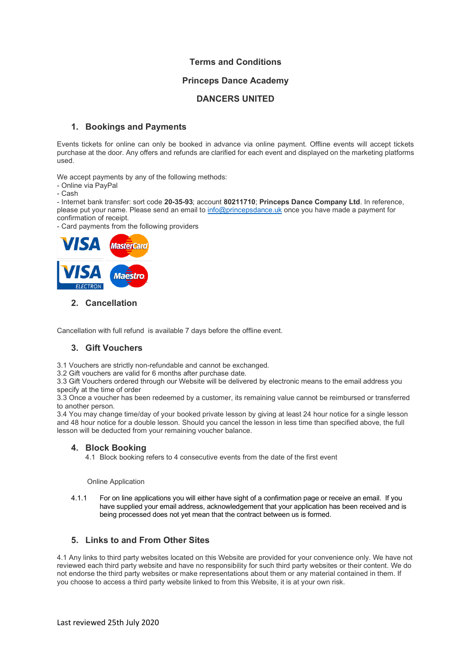## **Terms and Conditions**

## **Princeps Dance Academy**

## **DANCERS UNITED**

## **1. Bookings and Payments**

Events tickets for online can only be booked in advance via online payment. Offline events will accept tickets purchase at the door. Any offers and refunds are clarified for each event and displayed on the marketing platforms used.

We accept payments by any of the following methods:

- Online via PayPal
- Cash

- Internet bank transfer: sort code **20-35-93**; account **80211710**; **Princeps Dance Company Ltd**. In reference, please put your name. Please send an email to [info@princepsdance.uk](mailto:info@princepsdance.uk) once you have made a payment for confirmation of receipt.

- Card payments from the following providers



#### **2. Cancellation**

Cancellation with full refund is available 7 days before the offline event.

# **3. Gift Vouchers**

3.1 Vouchers are strictly non-refundable and cannot be exchanged.

3.2 Gift vouchers are valid for 6 months after purchase date.

3.3 Gift Vouchers ordered through our Website will be delivered by electronic means to the email address you specify at the time of order

3.3 Once a voucher has been redeemed by a customer, its remaining value cannot be reimbursed or transferred to another person.

3.4 You may change time/day of your booked private lesson by giving at least 24 hour notice for a single lesson and 48 hour notice for a double lesson. Should you cancel the lesson in less time than specified above, the full lesson will be deducted from your remaining voucher balance.

#### **4. Block Booking**

4.1 Block booking refers to 4 consecutive events from the date of the first event

Online Application

4.1.1 For on line applications you will either have sight of a confirmation page or receive an email. If you have supplied your email address, acknowledgement that your application has been received and is being processed does not yet mean that the contract between us is formed.

# **5. Links to and From Other Sites**

4.1 Any links to third party websites located on this Website are provided for your convenience only. We have not reviewed each third party website and have no responsibility for such third party websites or their content. We do not endorse the third party websites or make representations about them or any material contained in them. If you choose to access a third party website linked to from this Website, it is at your own risk.